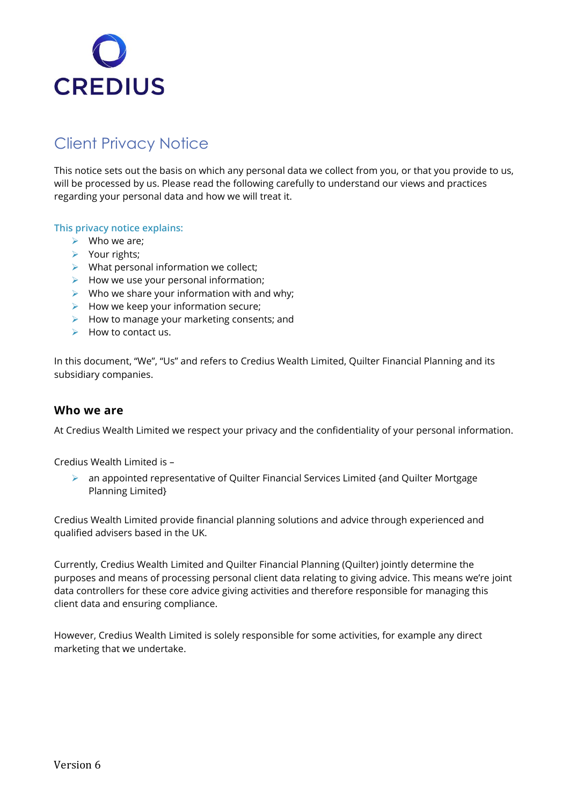

# Client Privacy Notice

This notice sets out the basis on which any personal data we collect from you, or that you provide to us, will be processed by us. Please read the following carefully to understand our views and practices regarding your personal data and how we will treat it.

#### **This privacy notice explains:**

- $\triangleright$  Who we are;
- ➢ Your rights;
- $\triangleright$  What personal information we collect;
- $\triangleright$  How we use your personal information;
- $\triangleright$  Who we share your information with and why;
- $\triangleright$  How we keep your information secure;
- $\triangleright$  How to manage your marketing consents; and
- $\triangleright$  How to contact us.

In this document, "We", "Us" and refers to Credius Wealth Limited, Quilter Financial Planning and its subsidiary companies.

#### **Who we are**

At Credius Wealth Limited we respect your privacy and the confidentiality of your personal information.

Credius Wealth Limited is –

➢ an appointed representative of Quilter Financial Services Limited {and Quilter Mortgage Planning Limited}

Credius Wealth Limited provide financial planning solutions and advice through experienced and qualified advisers based in the UK.

Currently, Credius Wealth Limited and Quilter Financial Planning (Quilter) jointly determine the purposes and means of processing personal client data relating to giving advice. This means we're joint data controllers for these core advice giving activities and therefore responsible for managing this client data and ensuring compliance.

However, Credius Wealth Limited is solely responsible for some activities, for example any direct marketing that we undertake.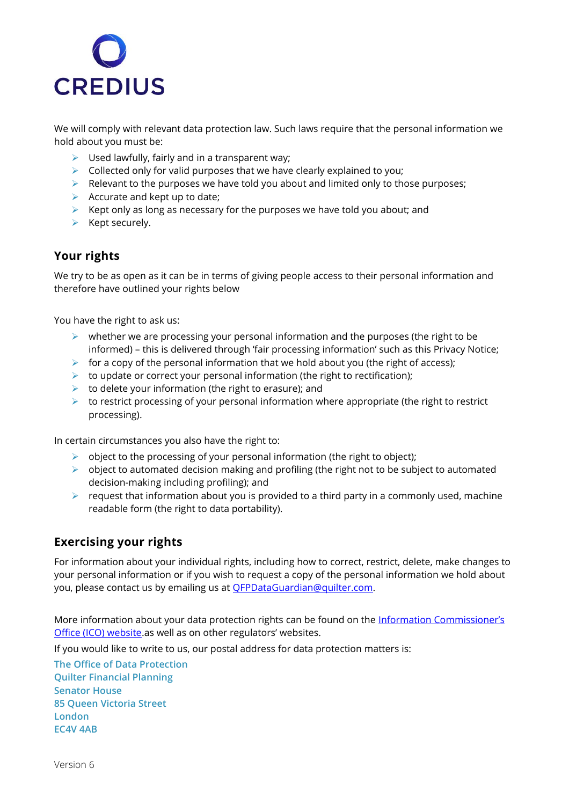

We will comply with relevant data protection law. Such laws require that the personal information we hold about you must be:

- $\triangleright$  Used lawfully, fairly and in a transparent way;
- $\triangleright$  Collected only for valid purposes that we have clearly explained to you;
- $\triangleright$  Relevant to the purposes we have told you about and limited only to those purposes;
- $\triangleright$  Accurate and kept up to date;
- $\triangleright$  Kept only as long as necessary for the purposes we have told you about; and
- $\triangleright$  Kept securely.

#### **Your rights**

We try to be as open as it can be in terms of giving people access to their personal information and therefore have outlined your rights below

You have the right to ask us:

- $\triangleright$  whether we are processing your personal information and the purposes (the right to be informed) – this is delivered through 'fair processing information' such as this Privacy Notice;
- $\triangleright$  for a copy of the personal information that we hold about you (the right of access);
- $\triangleright$  to update or correct your personal information (the right to rectification);
- $\triangleright$  to delete your information (the right to erasure); and
- $\triangleright$  to restrict processing of your personal information where appropriate (the right to restrict processing).

In certain circumstances you also have the right to:

- $\triangleright$  object to the processing of your personal information (the right to object);
- $\triangleright$  object to automated decision making and profiling (the right not to be subject to automated decision-making including profiling); and
- $\triangleright$  request that information about you is provided to a third party in a commonly used, machine readable form (the right to data portability).

#### **Exercising your rights**

For information about your individual rights, including how to correct, restrict, delete, make changes to your personal information or if you wish to request a copy of the personal information we hold about you, please contact us by emailing us at **OFPDataGuardian@quilter.com.** 

More information about your data protection rights can be found on the Information Commissioner's [Office \(ICO\) website](https://ico.org.uk/your-data-matters/).as well as on other regulators' websites.

If you would like to write to us, our postal address for data protection matters is:

**The Office of Data Protection Quilter Financial Planning Senator House 85 Queen Victoria Street London EC4V 4AB**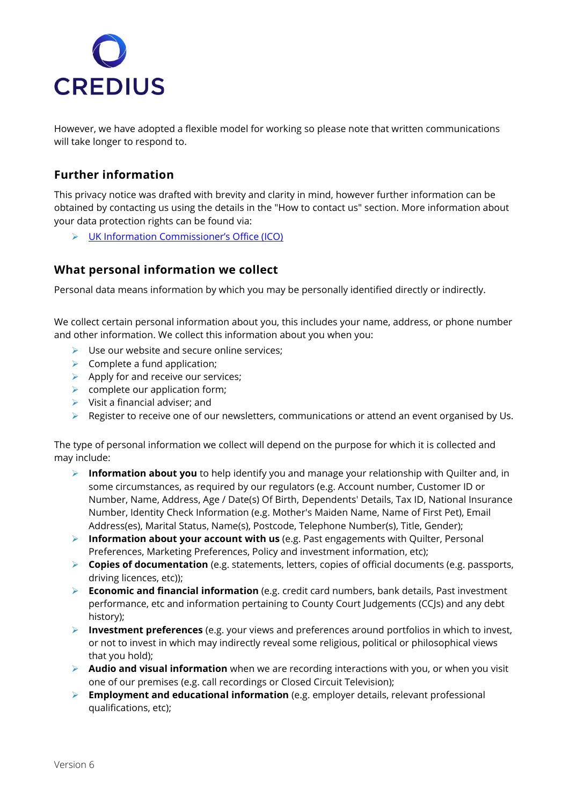

However, we have adopted a flexible model for working so please note that written communications will take longer to respond to.

# **Further information**

This privacy notice was drafted with brevity and clarity in mind, however further information can be obtained by contacting us using the details in the "How to contact us" section. More information about your data protection rights can be found via:

➢ [UK Information Commissioner's Office \(ICO\)](https://ico.org.uk/your-data-matters/)

### **What personal information we collect**

Personal data means information by which you may be personally identified directly or indirectly.

We collect certain personal information about you, this includes your name, address, or phone number and other information. We collect this information about you when you:

- $\triangleright$  Use our website and secure online services;
- $\triangleright$  Complete a fund application;
- $\triangleright$  Apply for and receive our services;
- $\triangleright$  complete our application form;
- $\triangleright$  Visit a financial adviser; and
- $\triangleright$  Register to receive one of our newsletters, communications or attend an event organised by Us.

The type of personal information we collect will depend on the purpose for which it is collected and may include:

- ➢ **Information about you** to help identify you and manage your relationship with Quilter and, in some circumstances, as required by our regulators (e.g. Account number, Customer ID or Number, Name, Address, Age / Date(s) Of Birth, Dependents' Details, Tax ID, National Insurance Number, Identity Check Information (e.g. Mother's Maiden Name, Name of First Pet), Email Address(es), Marital Status, Name(s), Postcode, Telephone Number(s), Title, Gender);
- ➢ **Information about your account with us** (e.g. Past engagements with Quilter, Personal Preferences, Marketing Preferences, Policy and investment information, etc);
- ➢ **Copies of documentation** (e.g. statements, letters, copies of official documents (e.g. passports, driving licences, etc));
- ➢ **Economic and financial information** (e.g. credit card numbers, bank details, Past investment performance, etc and information pertaining to County Court Judgements (CCJs) and any debt history);
- ➢ **Investment preferences** (e.g. your views and preferences around portfolios in which to invest, or not to invest in which may indirectly reveal some religious, political or philosophical views that you hold);
- ➢ **Audio and visual information** when we are recording interactions with you, or when you visit one of our premises (e.g. call recordings or Closed Circuit Television);
- ➢ **Employment and educational information** (e.g. employer details, relevant professional qualifications, etc);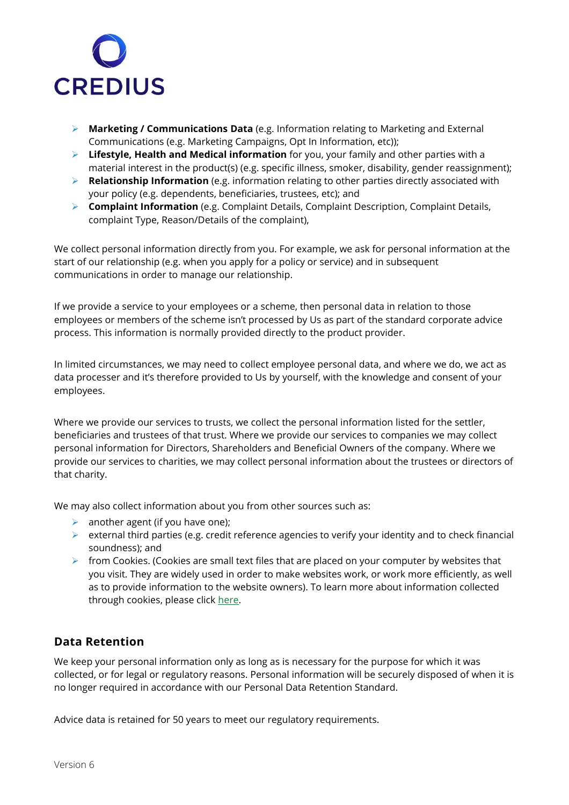

- ➢ **Marketing / Communications Data** (e.g. Information relating to Marketing and External Communications (e.g. Marketing Campaigns, Opt In Information, etc));
- ➢ **Lifestyle, Health and Medical information** for you, your family and other parties with a material interest in the product(s) (e.g. specific illness, smoker, disability, gender reassignment);
- ➢ **Relationship Information** (e.g. information relating to other parties directly associated with your policy (e.g. dependents, beneficiaries, trustees, etc); and
- ➢ **Complaint Information** (e.g. Complaint Details, Complaint Description, Complaint Details, complaint Type, Reason/Details of the complaint),

We collect personal information directly from you. For example, we ask for personal information at the start of our relationship (e.g. when you apply for a policy or service) and in subsequent communications in order to manage our relationship.

If we provide a service to your employees or a scheme, then personal data in relation to those employees or members of the scheme isn't processed by Us as part of the standard corporate advice process. This information is normally provided directly to the product provider.

In limited circumstances, we may need to collect employee personal data, and where we do, we act as data processer and it's therefore provided to Us by yourself, with the knowledge and consent of your employees.

Where we provide our services to trusts, we collect the personal information listed for the settler, beneficiaries and trustees of that trust. Where we provide our services to companies we may collect personal information for Directors, Shareholders and Beneficial Owners of the company. Where we provide our services to charities, we may collect personal information about the trustees or directors of that charity.

We may also collect information about you from other sources such as:

- $\triangleright$  another agent (if you have one);
- $\triangleright$  external third parties (e.g. credit reference agencies to verify your identity and to check financial soundness); and
- $\triangleright$  from Cookies. (Cookies are small text files that are placed on your computer by websites that you visit. They are widely used in order to make websites work, or work more efficiently, as well as to provide information to the website owners). To learn more about information collected through cookies, please click [here.](https://www.quilterfinancialadvisers.co.uk/cookie-notice/)

### **Data Retention**

We keep your personal information only as long as is necessary for the purpose for which it was collected, or for legal or regulatory reasons. Personal information will be securely disposed of when it is no longer required in accordance with our Personal Data Retention Standard.

Advice data is retained for 50 years to meet our regulatory requirements.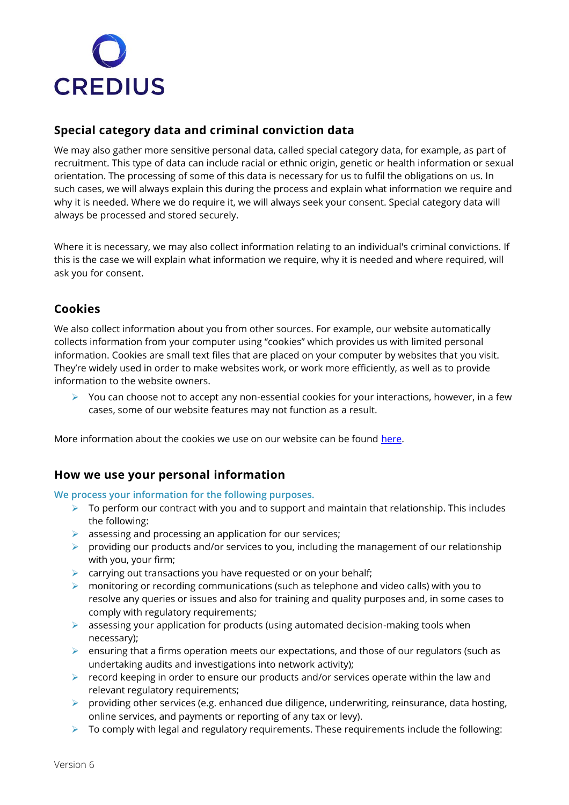

# **Special category data and criminal conviction data**

We may also gather more sensitive personal data, called special category data, for example, as part of recruitment. This type of data can include racial or ethnic origin, genetic or health information or sexual orientation. The processing of some of this data is necessary for us to fulfil the obligations on us. In such cases, we will always explain this during the process and explain what information we require and why it is needed. Where we do require it, we will always seek your consent. Special category data will always be processed and stored securely.

Where it is necessary, we may also collect information relating to an individual's criminal convictions. If this is the case we will explain what information we require, why it is needed and where required, will ask you for consent.

## **Cookies**

We also collect information about you from other sources. For example, our website automatically collects information from your computer using "cookies" which provides us with limited personal information. Cookies are small text files that are placed on your computer by websites that you visit. They're widely used in order to make websites work, or work more efficiently, as well as to provide information to the website owners.

➢ You can choose not to accept any non-essential cookies for your interactions, however, in a few cases, some of our website features may not function as a result.

More information about the cookies we use on our website can be found [here.](https://www.quilterfinancialadvisers.co.uk/cookie-notice/)

## **How we use your personal information**

#### **We process your information for the following purposes.**

- $\triangleright$  To perform our contract with you and to support and maintain that relationship. This includes the following:
- $\triangleright$  assessing and processing an application for our services;
- $\triangleright$  providing our products and/or services to you, including the management of our relationship with you, your firm;
- $\triangleright$  carrying out transactions you have requested or on your behalf;
- $\triangleright$  monitoring or recording communications (such as telephone and video calls) with you to resolve any queries or issues and also for training and quality purposes and, in some cases to comply with regulatory requirements;
- $\triangleright$  assessing your application for products (using automated decision-making tools when necessary);
- $\triangleright$  ensuring that a firms operation meets our expectations, and those of our regulators (such as undertaking audits and investigations into network activity);
- ➢ record keeping in order to ensure our products and/or services operate within the law and relevant regulatory requirements;
- $\triangleright$  providing other services (e.g. enhanced due diligence, underwriting, reinsurance, data hosting, online services, and payments or reporting of any tax or levy).
- $\triangleright$  To comply with legal and regulatory requirements. These requirements include the following: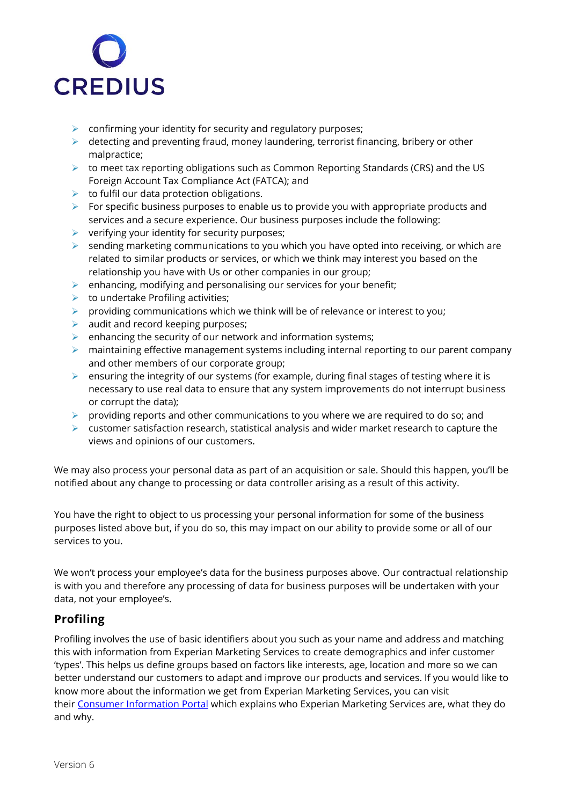

- $\triangleright$  confirming your identity for security and regulatory purposes;
- $\triangleright$  detecting and preventing fraud, money laundering, terrorist financing, bribery or other malpractice;
- ➢ to meet tax reporting obligations such as Common Reporting Standards (CRS) and the US Foreign Account Tax Compliance Act (FATCA); and
- $\triangleright$  to fulfil our data protection obligations.
- $\triangleright$  For specific business purposes to enable us to provide you with appropriate products and services and a secure experience. Our business purposes include the following:
- ➢ verifying your identity for security purposes;
- ➢ sending marketing communications to you which you have opted into receiving, or which are related to similar products or services, or which we think may interest you based on the relationship you have with Us or other companies in our group;
- $\triangleright$  enhancing, modifying and personalising our services for your benefit;
- $\triangleright$  to undertake Profiling activities;
- $\triangleright$  providing communications which we think will be of relevance or interest to you;
- $\triangleright$  audit and record keeping purposes;
- $\triangleright$  enhancing the security of our network and information systems;
- ➢ maintaining effective management systems including internal reporting to our parent company and other members of our corporate group;
- ➢ ensuring the integrity of our systems (for example, during final stages of testing where it is necessary to use real data to ensure that any system improvements do not interrupt business or corrupt the data);
- $\triangleright$  providing reports and other communications to you where we are required to do so; and
- $\triangleright$  customer satisfaction research, statistical analysis and wider market research to capture the views and opinions of our customers.

We may also process your personal data as part of an acquisition or sale. Should this happen, you'll be notified about any change to processing or data controller arising as a result of this activity.

You have the right to object to us processing your personal information for some of the business purposes listed above but, if you do so, this may impact on our ability to provide some or all of our services to you.

We won't process your employee's data for the business purposes above. Our contractual relationship is with you and therefore any processing of data for business purposes will be undertaken with your data, not your employee's.

# **Profiling**

Profiling involves the use of basic identifiers about you such as your name and address and matching this with information from Experian Marketing Services to create demographics and infer customer 'types'. This helps us define groups based on factors like interests, age, location and more so we can better understand our customers to adapt and improve our products and services. If you would like to know more about the information we get from Experian Marketing Services, you can visit their [Consumer Information Portal](https://www.experian.co.uk/privacy/consumer-information-portal) which explains who Experian Marketing Services are, what they do and why.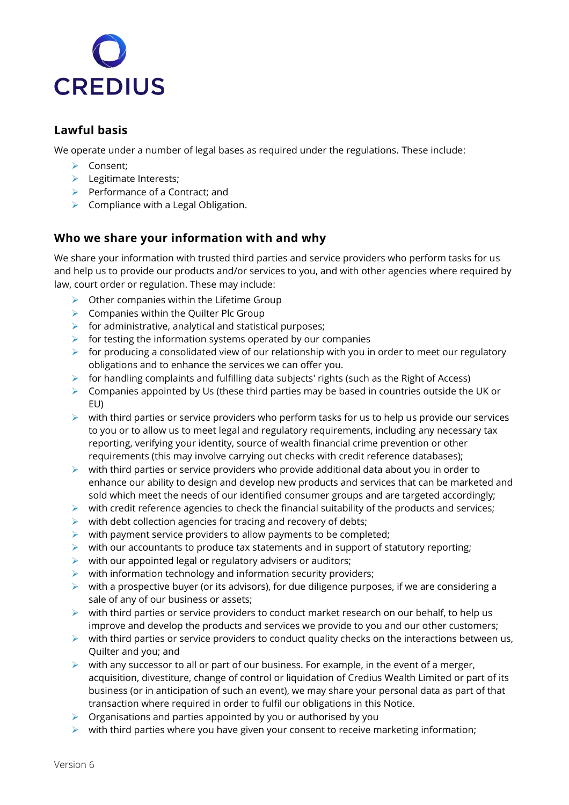

# **Lawful basis**

We operate under a number of legal bases as required under the regulations. These include:

- ➢ Consent;
- ➢ Legitimate Interests;
- $\triangleright$  Performance of a Contract; and
- $\triangleright$  Compliance with a Legal Obligation.

# **Who we share your information with and why**

We share your information with trusted third parties and service providers who perform tasks for us and help us to provide our products and/or services to you, and with other agencies where required by law, court order or regulation. These may include:

- $\triangleright$  Other companies within the Lifetime Group
- $\triangleright$  Companies within the Quilter Plc Group
- $\triangleright$  for administrative, analytical and statistical purposes;
- $\triangleright$  for testing the information systems operated by our companies
- $\triangleright$  for producing a consolidated view of our relationship with you in order to meet our regulatory obligations and to enhance the services we can offer you.
- $\triangleright$  for handling complaints and fulfilling data subjects' rights (such as the Right of Access)
- ➢ Companies appointed by Us (these third parties may be based in countries outside the UK or EU)
- $\triangleright$  with third parties or service providers who perform tasks for us to help us provide our services to you or to allow us to meet legal and regulatory requirements, including any necessary tax reporting, verifying your identity, source of wealth financial crime prevention or other requirements (this may involve carrying out checks with credit reference databases);
- $\triangleright$  with third parties or service providers who provide additional data about you in order to enhance our ability to design and develop new products and services that can be marketed and sold which meet the needs of our identified consumer groups and are targeted accordingly;
- $\triangleright$  with credit reference agencies to check the financial suitability of the products and services;
- $\triangleright$  with debt collection agencies for tracing and recovery of debts;
- $\triangleright$  with payment service providers to allow payments to be completed;
- $\triangleright$  with our accountants to produce tax statements and in support of statutory reporting;
- $\triangleright$  with our appointed legal or regulatory advisers or auditors;
- $\triangleright$  with information technology and information security providers;
- $\triangleright$  with a prospective buyer (or its advisors), for due diligence purposes, if we are considering a sale of any of our business or assets;
- $\triangleright$  with third parties or service providers to conduct market research on our behalf, to help us improve and develop the products and services we provide to you and our other customers;
- $\triangleright$  with third parties or service providers to conduct quality checks on the interactions between us, Quilter and you; and
- $\triangleright$  with any successor to all or part of our business. For example, in the event of a merger, acquisition, divestiture, change of control or liquidation of Credius Wealth Limited or part of its business (or in anticipation of such an event), we may share your personal data as part of that transaction where required in order to fulfil our obligations in this Notice.
- $\triangleright$  Organisations and parties appointed by you or authorised by you
- $\triangleright$  with third parties where you have given your consent to receive marketing information;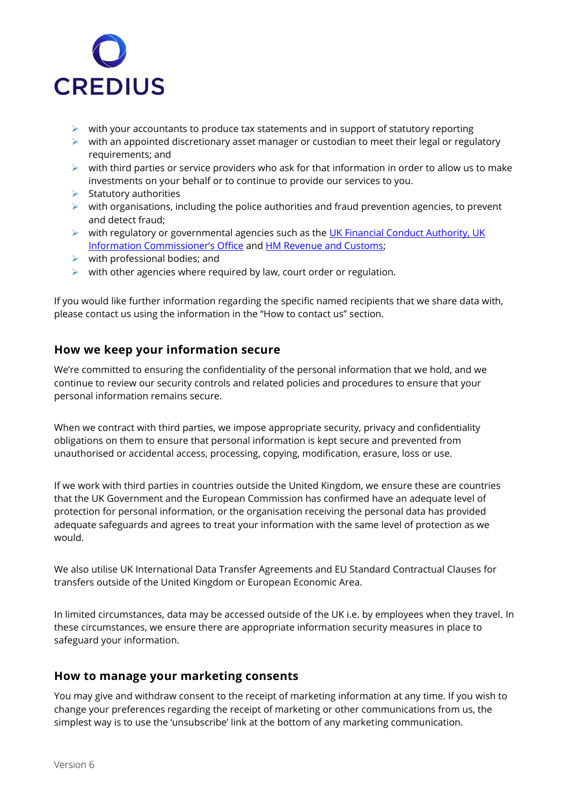

- $\triangleright$  with your accountants to produce tax statements and in support of statutory reporting
- $\triangleright$  with an appointed discretionary asset manager or custodian to meet their legal or regulatory requirements; and
- $\triangleright$  with third parties or service providers who ask for that information in order to allow us to make investments on your behalf or to continue to provide our services to you.
- $\triangleright$  Statutory authorities
- $\triangleright$  with organisations, including the police authorities and fraud prevention agencies, to prevent and detect fraud;
- ➢ with regulatory or governmental agencies such as the [UK Financial Conduct Authority,](https://www.fca.org.uk/) [UK](https://ico.org.uk/)  [Information Commissioner's Office](https://ico.org.uk/) and [HM Revenue and Customs;](https://www.gov.uk/government/organisations/hm-revenue-customs)
- $\triangleright$  with professional bodies; and
- $\triangleright$  with other agencies where required by law, court order or regulation.

If you would like further information regarding the specific named recipients that we share data with, please contact us using the information in the "How to contact us" section.

### **How we keep your information secure**

We're committed to ensuring the confidentiality of the personal information that we hold, and we continue to review our security controls and related policies and procedures to ensure that your personal information remains secure.

When we contract with third parties, we impose appropriate security, privacy and confidentiality obligations on them to ensure that personal information is kept secure and prevented from unauthorised or accidental access, processing, copying, modification, erasure, loss or use.

If we work with third parties in countries outside the United Kingdom, we ensure these are countries that the UK Government and the European Commission has confirmed have an adequate level of protection for personal information, or the organisation receiving the personal data has provided adequate safeguards and agrees to treat your information with the same level of protection as we would.

We also utilise UK International Data Transfer Agreements and EU Standard Contractual Clauses for transfers outside of the United Kingdom or European Economic Area.

In limited circumstances, data may be accessed outside of the UK i.e. by employees when they travel. In these circumstances, we ensure there are appropriate information security measures in place to safeguard your information.

### **How to manage your marketing consents**

You may give and withdraw consent to the receipt of marketing information at any time. If you wish to change your preferences regarding the receipt of marketing or other communications from us, the simplest way is to use the 'unsubscribe' link at the bottom of any marketing communication.